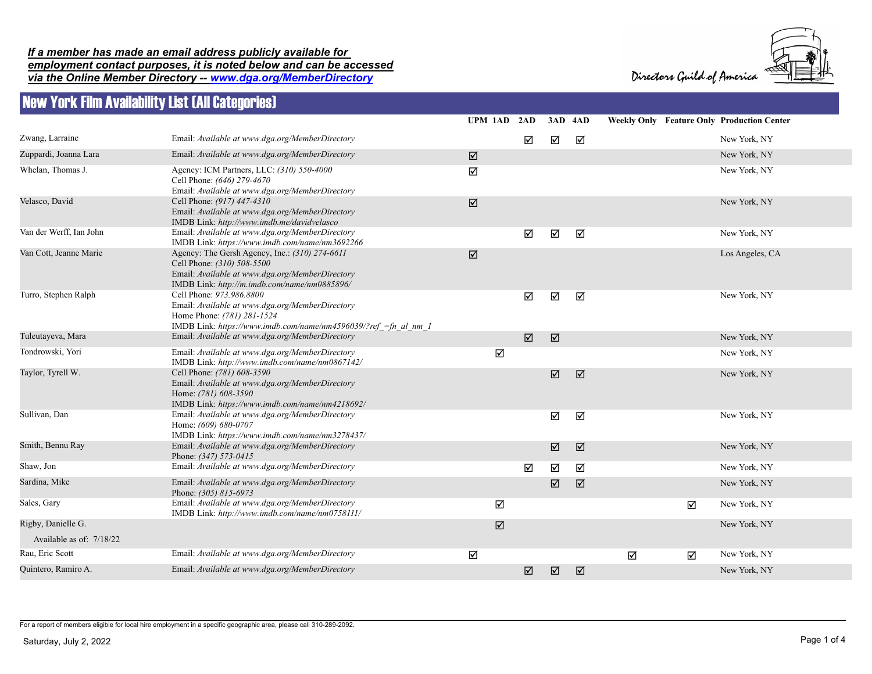## *If a member has made an email address publicly available for employment contact purposes, it is noted below and can be accessed via the Online Member Directory -- www.dga.org/MemberDirectory*





## New York Film Availability List (All Categories)

|                          |                                                                                                                                                                                 |   | UPM 1AD 2AD |                      | 3AD 4AD         |   |   | <b>Weekly Only Feature Only Production Center</b> |
|--------------------------|---------------------------------------------------------------------------------------------------------------------------------------------------------------------------------|---|-------------|----------------------|-----------------|---|---|---------------------------------------------------|
| Zwang, Larraine          | Email: Available at www.dga.org/MemberDirectory                                                                                                                                 |   | ☑           | ☑                    | ☑               |   |   | New York, NY                                      |
| Zuppardi, Joanna Lara    | Email: Available at www.dga.org/MemberDirectory                                                                                                                                 | ☑ |             |                      |                 |   |   | New York, NY                                      |
| Whelan, Thomas J.        | Agency: ICM Partners, LLC: (310) 550-4000<br>Cell Phone: (646) 279-4670<br>Email: Available at www.dga.org/MemberDirectory                                                      | ☑ |             |                      |                 |   |   | New York, NY                                      |
| Velasco, David           | Cell Phone: (917) 447-4310<br>Email: Available at www.dga.org/MemberDirectory<br>IMDB Link: http://www.imdb.me/davidvelasco                                                     | ☑ |             |                      |                 |   |   | New York, NY                                      |
| Van der Werff, Ian John  | Email: Available at www.dga.org/MemberDirectory<br>IMDB Link: https://www.imdb.com/name/nm3692266                                                                               |   | ☑           | ☑                    | ☑               |   |   | New York, NY                                      |
| Van Cott, Jeanne Marie   | Agency: The Gersh Agency, Inc.: (310) 274-6611<br>Cell Phone: (310) 508-5500<br>Email: Available at www.dga.org/MemberDirectory<br>IMDB Link: http://m.imdb.com/name/nm0885896/ | ☑ |             |                      |                 |   |   | Los Angeles, CA                                   |
| Turro, Stephen Ralph     | Cell Phone: 973.986.8800<br>Email: Available at www.dga.org/MemberDirectory<br>Home Phone: (781) 281-1524<br>IMDB Link: https://www.imdb.com/name/nm4596039/?ref =fn al nm 1    |   | ☑           | ☑                    | ☑               |   |   | New York, NY                                      |
| Tuleutayeva, Mara        | Email: Available at www.dga.org/MemberDirectory                                                                                                                                 |   | ☑           | $\boxed{\mathbf{Z}}$ |                 |   |   | New York, NY                                      |
| Tondrowski, Yori         | Email: Available at www.dga.org/MemberDirectory<br>IMDB Link: http://www.imdb.com/name/nm0867142/                                                                               |   | $\Delta$    |                      |                 |   |   | New York, NY                                      |
| Taylor, Tyrell W.        | Cell Phone: (781) 608-3590<br>Email: Available at www.dga.org/MemberDirectory<br>Home: (781) 608-3590<br>IMDB Link: https://www.imdb.com/name/nm4218692/                        |   |             | ☑                    | $\triangledown$ |   |   | New York, NY                                      |
| Sullivan, Dan            | Email: Available at www.dga.org/MemberDirectory<br>Home: (609) 680-0707<br>IMDB Link: https://www.imdb.com/name/nm3278437/                                                      |   |             | ☑                    | ☑               |   |   | New York, NY                                      |
| Smith, Bennu Ray         | Email: Available at www.dga.org/MemberDirectory<br>Phone: (347) 573-0415                                                                                                        |   |             | ☑                    | ☑               |   |   | New York, NY                                      |
| Shaw, Jon                | Email: Available at www.dga.org/MemberDirectory                                                                                                                                 |   | ☑           | ☑                    | ☑               |   |   | New York, NY                                      |
| Sardina, Mike            | Email: Available at www.dga.org/MemberDirectory<br>Phone: (305) 815-6973                                                                                                        |   |             | ☑                    | ☑               |   |   | New York, NY                                      |
| Sales, Gary              | Email: Available at www.dga.org/MemberDirectory<br>IMDB Link: http://www.imdb.com/name/nm0758111/                                                                               |   | ☑           |                      |                 |   | ☑ | New York, NY                                      |
| Rigby, Danielle G.       |                                                                                                                                                                                 |   | ☑           |                      |                 |   |   | New York, NY                                      |
| Available as of: 7/18/22 |                                                                                                                                                                                 |   |             |                      |                 |   |   |                                                   |
| Rau, Eric Scott          | Email: Available at www.dga.org/MemberDirectory                                                                                                                                 | ☑ |             |                      |                 | ☑ | ☑ | New York, NY                                      |
| Quintero, Ramiro A.      | Email: Available at www.dga.org/MemberDirectory                                                                                                                                 |   | ☑           | ☑                    | ☑               |   |   | New York, NY                                      |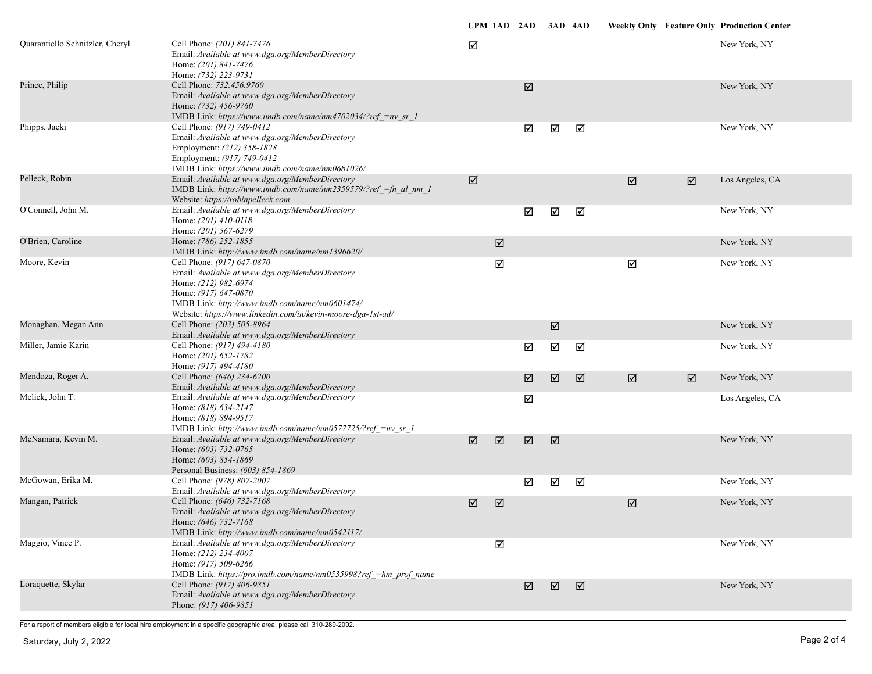| Quarantiello Schnitzler, Cheryl | Cell Phone: (201) 841-7476<br>Email: Available at www.dga.org/MemberDirectory<br>Home: (201) 841-7476<br>Home: (732) 223-9731                                                                                                                   | ☑                     |             |                       |                       |   |   |   | New York, NY    |
|---------------------------------|-------------------------------------------------------------------------------------------------------------------------------------------------------------------------------------------------------------------------------------------------|-----------------------|-------------|-----------------------|-----------------------|---|---|---|-----------------|
| Prince, Philip                  | Cell Phone: 732.456.9760<br>Email: Available at www.dga.org/MemberDirectory<br>Home: (732) 456-9760<br>IMDB Link: https://www.imdb.com/name/nm4702034/?ref =nv sr 1                                                                             |                       |             | $\boxed{\mathcal{J}}$ |                       |   |   |   | New York, NY    |
| Phipps, Jacki                   | Cell Phone: (917) 749-0412<br>Email: Available at www.dga.org/MemberDirectory<br>Employment: (212) 358-1828<br>Employment: (917) 749-0412<br>IMDB Link: https://www.imdb.com/name/nm0681026/                                                    |                       |             | ☑                     | ☑                     | ☑ |   |   | New York, NY    |
| Pelleck, Robin                  | Email: Available at www.dga.org/MemberDirectory<br>IMDB Link: https://www.imdb.com/name/nm2359579/?ref =fn al nm 1<br>Website: https://robinpelleck.com                                                                                         | $\boxed{\mathbf{v}}$  |             |                       |                       |   | ☑ | ☑ | Los Angeles, CA |
| O'Connell, John M.              | Email: Available at www.dga.org/MemberDirectory<br>Home: (201) 410-0118<br>Home: (201) 567-6279                                                                                                                                                 |                       |             | ☑                     | ☑                     | ☑ |   |   | New York, NY    |
| O'Brien, Caroline               | Home: (786) 252-1855<br>IMDB Link: http://www.imdb.com/name/nm1396620/                                                                                                                                                                          |                       | $\boxtimes$ |                       |                       |   |   |   | New York, NY    |
| Moore, Kevin                    | Cell Phone: (917) 647-0870<br>Email: Available at www.dga.org/MemberDirectory<br>Home: (212) 982-6974<br>Home: (917) 647-0870<br>IMDB Link: http://www.imdb.com/name/nm0601474/<br>Website: https://www.linkedin.com/in/kevin-moore-dga-1st-ad/ |                       | ☑           |                       |                       |   | ☑ |   | New York, NY    |
| Monaghan, Megan Ann             | Cell Phone: (203) 505-8964<br>Email: Available at www.dga.org/MemberDirectory                                                                                                                                                                   |                       |             |                       | $\boxed{\triangle}$   |   |   |   | New York, NY    |
| Miller, Jamie Karin             | Cell Phone: (917) 494-4180<br>Home: (201) 652-1782<br>Home: (917) 494-4180                                                                                                                                                                      |                       |             | ☑                     | ☑                     | ☑ |   |   | New York, NY    |
| Mendoza, Roger A.               | Cell Phone: (646) 234-6200<br>Email: Available at www.dga.org/MemberDirectory                                                                                                                                                                   |                       |             | ☑                     | $\boxed{\mathcal{N}}$ | ☑ | ☑ | ☑ | New York, NY    |
| Melick, John T.                 | Email: Available at www.dga.org/MemberDirectory<br>Home: (818) 634-2147<br>Home: (818) 894-9517<br>IMDB Link: http://www.imdb.com/name/nm0577725/?ref =nv sr 1                                                                                  |                       |             | ☑                     |                       |   |   |   | Los Angeles, CA |
| McNamara, Kevin M.              | Email: Available at www.dga.org/MemberDirectory<br>Home: (603) 732-0765<br>Home: (603) 854-1869<br>Personal Business: (603) 854-1869                                                                                                            | $\boxed{\mathcal{J}}$ | ☑           | $\boxed{\mathbf{v}}$  | ☑                     |   |   |   | New York, NY    |
| McGowan, Erika M.               | Cell Phone: (978) 807-2007<br>Email: Available at www.dga.org/MemberDirectory                                                                                                                                                                   |                       |             | ☑                     | ☑                     | ☑ |   |   | New York, NY    |
| Mangan, Patrick                 | Cell Phone: (646) 732-7168<br>Email: Available at www.dga.org/MemberDirectory<br>Home: (646) 732-7168<br>IMDB Link: http://www.imdb.com/name/nm0542117/                                                                                         | ☑                     | ☑           |                       |                       |   | ☑ |   | New York, NY    |
| Maggio, Vince P.                | Email: Available at www.dga.org/MemberDirectory<br>Home: (212) 234-4007<br>Home: (917) 509-6266<br>IMDB Link: https://pro.imdb.com/name/nm0535998?ref =hm prof name                                                                             |                       | ☑           |                       |                       |   |   |   | New York, NY    |
| Loraquette, Skylar              | Cell Phone: (917) 406-9851<br>Email: Available at www.dga.org/MemberDirectory<br>Phone: (917) 406-9851                                                                                                                                          |                       |             | ☑                     | ☑                     | ☑ |   |   | New York, NY    |

**UPM 1AD 2AD 3AD 4AD Weekly Only Feature Only Production Center**

For a report of members eligible for local hire employment in a specific geographic area, please call 310-289-2092.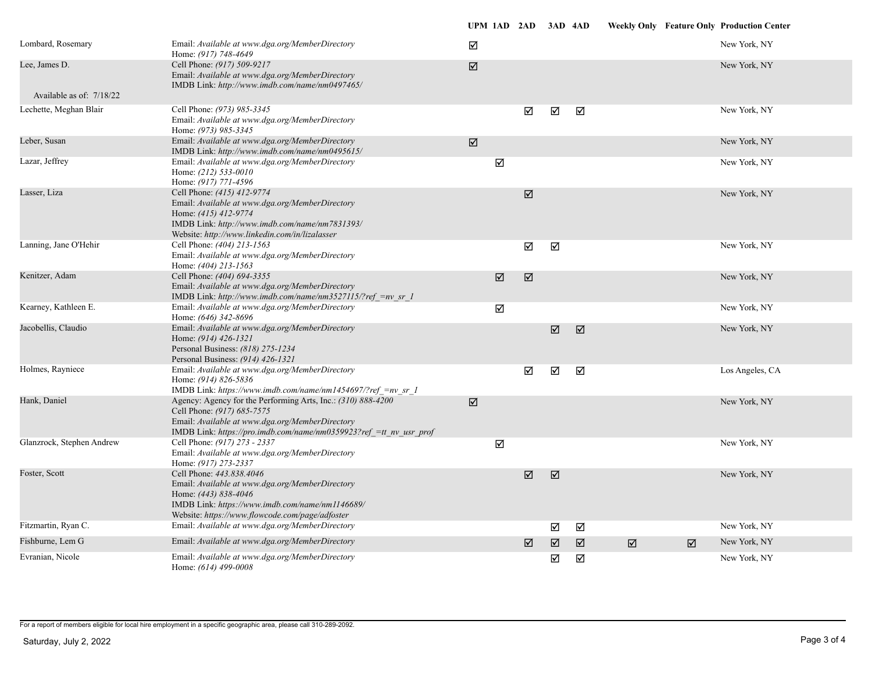|                            |                                                                                                                                                                                                                     | UPM 1AD 2AD 3AD 4AD  |   |                       |   |                       |   | <b>Weekly Only Feature Only Production Center</b> |
|----------------------------|---------------------------------------------------------------------------------------------------------------------------------------------------------------------------------------------------------------------|----------------------|---|-----------------------|---|-----------------------|---|---------------------------------------------------|
| Lombard, Rosemary          | Email: Available at www.dga.org/MemberDirectory<br>Home: (917) 748-4649                                                                                                                                             | ☑                    |   |                       |   |                       |   | New York, NY                                      |
| Lee, James D.              | Cell Phone: (917) 509-9217<br>Email: Available at www.dga.org/MemberDirectory<br>IMDB Link: http://www.imdb.com/name/nm0497465/                                                                                     | ☑                    |   |                       |   |                       |   | New York, NY                                      |
| Available as of: $7/18/22$ |                                                                                                                                                                                                                     |                      |   |                       |   |                       |   |                                                   |
| Lechette, Meghan Blair     | Cell Phone: (973) 985-3345<br>Email: Available at www.dga.org/MemberDirectory<br>Home: (973) 985-3345                                                                                                               |                      | ☑ | ☑                     | ☑ |                       |   | New York, NY                                      |
| Leber, Susan               | Email: Available at www.dga.org/MemberDirectory<br>IMDB Link: http://www.imdb.com/name/nm0495615/                                                                                                                   | $\boxed{\mathbb{Z}}$ |   |                       |   |                       |   | New York, NY                                      |
| Lazar, Jeffrey             | Email: Available at www.dga.org/MemberDirectory<br>Home: (212) 533-0010<br>Home: (917) 771-4596                                                                                                                     | ☑                    |   |                       |   |                       |   | New York, NY                                      |
| Lasser, Liza               | Cell Phone: (415) 412-9774<br>Email: Available at www.dga.org/MemberDirectory<br>Home: (415) 412-9774<br>IMDB Link: http://www.imdb.com/name/nm7831393/<br>Website: http://www.linkedin.com/in/lizalasser           |                      | ☑ |                       |   |                       |   | New York, NY                                      |
| Lanning, Jane O'Hehir      | Cell Phone: (404) 213-1563<br>Email: Available at www.dga.org/MemberDirectory<br>Home: (404) 213-1563                                                                                                               |                      | ☑ | ☑                     |   |                       |   | New York, NY                                      |
| Kenitzer, Adam             | Cell Phone: (404) 694-3355<br>Email: Available at www.dga.org/MemberDirectory<br>IMDB Link: http://www.imdb.com/name/nm3527115/?ref =nv sr 1                                                                        | ☑                    | ☑ |                       |   |                       |   | New York, NY                                      |
| Kearney, Kathleen E.       | Email: Available at www.dga.org/MemberDirectory<br>Home: (646) 342-8696                                                                                                                                             | ☑                    |   |                       |   |                       |   | New York, NY                                      |
| Jacobellis, Claudio        | Email: Available at www.dga.org/MemberDirectory<br>Home: (914) 426-1321<br>Personal Business: (818) 275-1234<br>Personal Business: (914) 426-1321                                                                   |                      |   | $\boxed{\mathcal{J}}$ | ☑ |                       |   | New York, NY                                      |
| Holmes, Rayniece           | Email: Available at www.dga.org/MemberDirectory<br>Home: (914) 826-5836<br>IMDB Link: https://www.imdb.com/name/nm1454697/?ref =nv sr 1                                                                             |                      | ☑ | ☑                     | ☑ |                       |   | Los Angeles, CA                                   |
| Hank, Daniel               | Agency: Agency for the Performing Arts, Inc.: (310) 888-4200<br>Cell Phone: (917) 685-7575<br>Email: Available at www.dga.org/MemberDirectory<br>IMDB Link: https://pro.imdb.com/name/nm0359923?ref =tt nv usr prof | ☑                    |   |                       |   |                       |   | New York, NY                                      |
| Glanzrock, Stephen Andrew  | Cell Phone: (917) 273 - 2337<br>Email: Available at www.dga.org/MemberDirectory<br>Home: (917) 273-2337                                                                                                             | ☑                    |   |                       |   |                       |   | New York, NY                                      |
| Foster, Scott              | Cell Phone: 443.838.4046<br>Email: Available at www.dga.org/MemberDirectory<br>Home: (443) 838-4046<br>IMDB Link: https://www.imdb.com/name/nm1146689/<br>Website: https://www.flowcode.com/page/adfoster           |                      | ☑ | ☑                     |   |                       |   | New York, NY                                      |
| Fitzmartin, Ryan C.        | Email: Available at www.dga.org/MemberDirectory                                                                                                                                                                     |                      |   | ☑                     | ☑ |                       |   | New York, NY                                      |
| Fishburne, Lem G           | Email: Available at www.dga.org/MemberDirectory                                                                                                                                                                     |                      | ☑ | ☑                     | ☑ | $\boxed{\mathcal{A}}$ | ☑ | New York, NY                                      |
| Evranian, Nicole           | Email: Available at www.dga.org/MemberDirectory<br>Home: (614) 499-0008                                                                                                                                             |                      |   | ☑                     | ☑ |                       |   | New York, NY                                      |